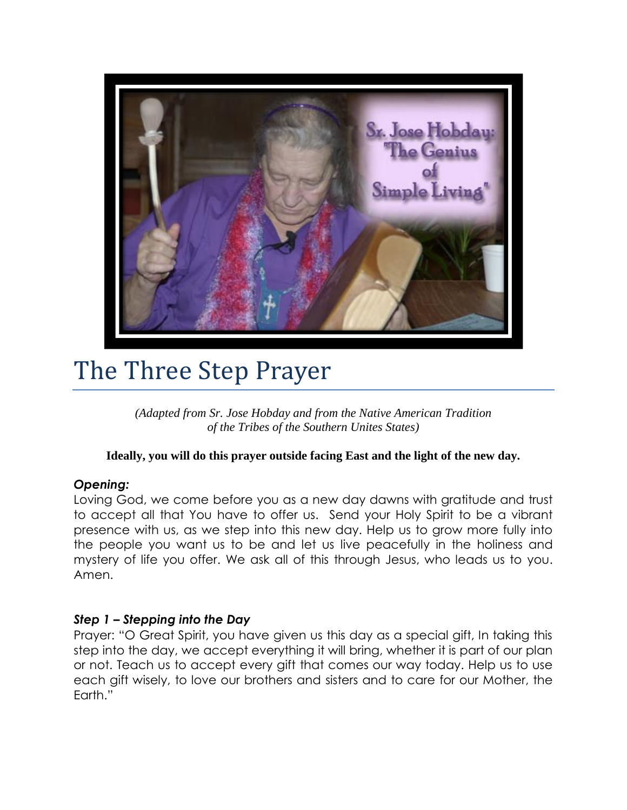

# The Three Step Prayer

*(Adapted from Sr. Jose Hobday and from the Native American Tradition of the Tribes of the Southern Unites States)*

## **Ideally, you will do this prayer outside facing East and the light of the new day.**

## *Opening:*

Loving God, we come before you as a new day dawns with gratitude and trust to accept all that You have to offer us. Send your Holy Spirit to be a vibrant presence with us, as we step into this new day. Help us to grow more fully into the people you want us to be and let us live peacefully in the holiness and mystery of life you offer. We ask all of this through Jesus, who leads us to you. Amen.

## *Step 1 – Stepping into the Day*

Prayer: "O Great Spirit, you have given us this day as a special gift, In taking this step into the day, we accept everything it will bring, whether it is part of our plan or not. Teach us to accept every gift that comes our way today. Help us to use each gift wisely, to love our brothers and sisters and to care for our Mother, the Earth."